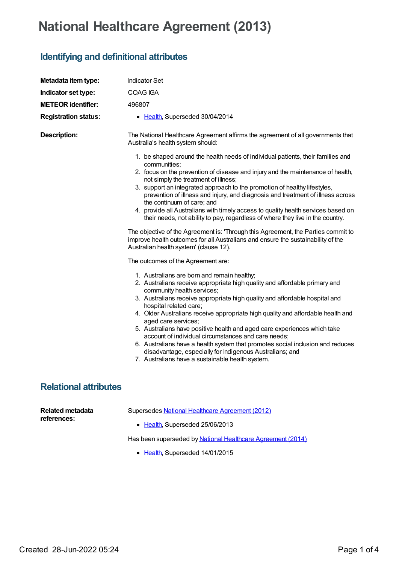## **National Healthcare Agreement (2013)**

## **Identifying and definitional attributes**

| Metadata item type:                    | <b>Indicator Set</b>                                                                                                                                                                                                                                                                                                                                                                                                                                                                                                                                                                                                                                                                                            |
|----------------------------------------|-----------------------------------------------------------------------------------------------------------------------------------------------------------------------------------------------------------------------------------------------------------------------------------------------------------------------------------------------------------------------------------------------------------------------------------------------------------------------------------------------------------------------------------------------------------------------------------------------------------------------------------------------------------------------------------------------------------------|
| Indicator set type:                    | <b>COAG IGA</b>                                                                                                                                                                                                                                                                                                                                                                                                                                                                                                                                                                                                                                                                                                 |
| <b>METEOR identifier:</b>              | 496807                                                                                                                                                                                                                                                                                                                                                                                                                                                                                                                                                                                                                                                                                                          |
| <b>Registration status:</b>            | • Health, Superseded 30/04/2014                                                                                                                                                                                                                                                                                                                                                                                                                                                                                                                                                                                                                                                                                 |
| <b>Description:</b>                    | The National Healthcare Agreement affirms the agreement of all governments that<br>Australia's health system should:                                                                                                                                                                                                                                                                                                                                                                                                                                                                                                                                                                                            |
|                                        | 1. be shaped around the health needs of individual patients, their families and<br>communities;<br>2. focus on the prevention of disease and injury and the maintenance of health,<br>not simply the treatment of illness;<br>3. support an integrated approach to the promotion of healthy lifestyles,<br>prevention of illness and injury, and diagnosis and treatment of illness across<br>the continuum of care; and<br>4. provide all Australians with timely access to quality health services based on<br>their needs, not ability to pay, regardless of where they live in the country.<br>The objective of the Agreement is: 'Through this Agreement, the Parties commit to                            |
|                                        | improve health outcomes for all Australians and ensure the sustainability of the<br>Australian health system' (clause 12).<br>The outcomes of the Agreement are:                                                                                                                                                                                                                                                                                                                                                                                                                                                                                                                                                |
|                                        | 1. Australians are born and remain healthy;<br>2. Australians receive appropriate high quality and affordable primary and<br>community health services;<br>3. Australians receive appropriate high quality and affordable hospital and<br>hospital related care;<br>4. Older Australians receive appropriate high quality and affordable health and<br>aged care services;<br>5. Australians have positive health and aged care experiences which take<br>account of individual circumstances and care needs;<br>6. Australians have a health system that promotes social inclusion and reduces<br>disadvantage, especially for Indigenous Australians; and<br>7. Australians have a sustainable health system. |
| <b>Relational attributes</b>           |                                                                                                                                                                                                                                                                                                                                                                                                                                                                                                                                                                                                                                                                                                                 |
| <b>Related metadata</b><br>references: | Supersedes National Healthcare Agreement (2012)<br>• Health, Superseded 25/06/2013                                                                                                                                                                                                                                                                                                                                                                                                                                                                                                                                                                                                                              |

Has been superseded by National Healthcare [Agreement](https://meteor.aihw.gov.au/content/517609) (2014)

• [Health](https://meteor.aihw.gov.au/RegistrationAuthority/12), Superseded 14/01/2015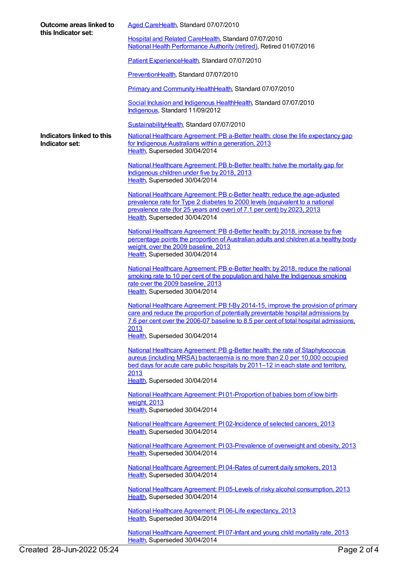| Outcome areas linked to<br>this Indicator set: | Aged CareHealth, Standard 07/07/2010                                                                                                                                                                                                                                  |
|------------------------------------------------|-----------------------------------------------------------------------------------------------------------------------------------------------------------------------------------------------------------------------------------------------------------------------|
|                                                | Hospital and Related CareHealth, Standard 07/07/2010<br>National Health Performance Authority (retired), Retired 01/07/2016                                                                                                                                           |
|                                                | Patient ExperienceHealth, Standard 07/07/2010                                                                                                                                                                                                                         |
|                                                | PreventionHealth, Standard 07/07/2010                                                                                                                                                                                                                                 |
|                                                | Primary and Community HealthHealth, Standard 07/07/2010                                                                                                                                                                                                               |
|                                                | Social Inclusion and Indigenous HealthHealth, Standard 07/07/2010<br>Indigenous, Standard 11/09/2012                                                                                                                                                                  |
|                                                | SustainabilityHealth, Standard 07/07/2010                                                                                                                                                                                                                             |
| Indicators linked to this<br>Indicator set:    | National Healthcare Agreement: PB a-Better health: close the life expectancy gap<br>for Indigenous Australians within a generation, 2013<br>Health, Superseded 30/04/2014                                                                                             |
|                                                | National Healthcare Agreement: PB b-Better health: halve the mortality gap for<br>Indigenous children under five by 2018, 2013<br>Health, Superseded 30/04/2014                                                                                                       |
|                                                | National Healthcare Agreement: PB c-Better health: reduce the age-adjusted<br>prevalence rate for Type 2 diabetes to 2000 levels (equivalent to a national<br>prevalence rate (for 25 years and over) of 7.1 per cent) by 2023, 2013<br>Health, Superseded 30/04/2014 |
|                                                | National Healthcare Agreement: PB d-Better health: by 2018, increase by five<br>percentage points the proportion of Australian adults and children at a healthy body<br>weight, over the 2009 baseline, 2013<br>Health, Superseded 30/04/2014                         |
|                                                | National Healthcare Agreement: PB e-Better health: by 2018, reduce the national<br>smoking rate to 10 per cent of the population and halve the Indigenous smoking<br>rate over the 2009 baseline, 2013<br>Health, Superseded 30/04/2014                               |
|                                                | National Healthcare Agreement: PB f-By 2014-15, improve the provision of primary<br>care and reduce the proportion of potentially preventable hospital admissions by<br>7.6 per cent over the 2006-07 baseline to 8.5 per cent of total hospital admissions,<br>2013  |
|                                                | Health, Superseded 30/04/2014                                                                                                                                                                                                                                         |
|                                                | National Healthcare Agreement: PB g-Better health: the rate of Staphylococcus<br>aureus (including MRSA) bacteraemia is no more than 2.0 per 10,000 occupied<br>bed days for acute care public hospitals by 2011-12 in each state and territory,<br>2013              |
|                                                | Health, Superseded 30/04/2014                                                                                                                                                                                                                                         |
|                                                | National Healthcare Agreement: PI01-Proportion of babies born of low birth<br>weight, 2013<br>Health, Superseded 30/04/2014                                                                                                                                           |
|                                                | National Healthcare Agreement: PI02-Incidence of selected cancers, 2013<br>Health, Superseded 30/04/2014                                                                                                                                                              |
|                                                | National Healthcare Agreement: PI03-Prevalence of overweight and obesity, 2013<br>Health, Superseded 30/04/2014                                                                                                                                                       |
|                                                | National Healthcare Agreement: PI04-Rates of current daily smokers, 2013<br>Health, Superseded 30/04/2014                                                                                                                                                             |
|                                                | National Healthcare Agreement: PI05-Levels of risky alcohol consumption, 2013<br>Health, Superseded 30/04/2014                                                                                                                                                        |
|                                                | National Healthcare Agreement: PI06-Life expectancy, 2013<br>Health, Superseded 30/04/2014                                                                                                                                                                            |
|                                                | National Healthcare Agreement: PI 07-Infant and young child mortality rate, 2013                                                                                                                                                                                      |

[Health](https://meteor.aihw.gov.au/RegistrationAuthority/12), Superseded 30/04/2014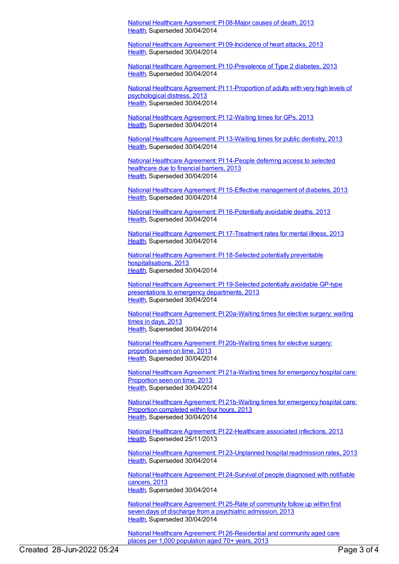National Healthcare [Agreement:](https://meteor.aihw.gov.au/content/497524) PI 08-Major causes of death, 2013 [Health](https://meteor.aihw.gov.au/RegistrationAuthority/12), Superseded 30/04/2014

National Healthcare Agreement: PI [09-Incidence](https://meteor.aihw.gov.au/content/497512) of heart attacks, 2013 [Health](https://meteor.aihw.gov.au/RegistrationAuthority/12), Superseded 30/04/2014

National Healthcare Agreement: PI [10-Prevalence](https://meteor.aihw.gov.au/content/497459) of Type 2 diabetes, 2013 [Health](https://meteor.aihw.gov.au/RegistrationAuthority/12), Superseded 30/04/2014

National Healthcare Agreement: PI [11-Proportion](https://meteor.aihw.gov.au/content/497442) of adults with very high levels of psychological distress, 2013 [Health](https://meteor.aihw.gov.au/RegistrationAuthority/12), Superseded 30/04/2014

National Healthcare [Agreement:](https://meteor.aihw.gov.au/content/497366) PI 12-Waiting times for GPs, 2013 [Health](https://meteor.aihw.gov.au/RegistrationAuthority/12), Superseded 30/04/2014

National Healthcare [Agreement:](https://meteor.aihw.gov.au/content/497262) PI 13-Waiting times for public dentistry, 2013 [Health](https://meteor.aihw.gov.au/RegistrationAuthority/12), Superseded 30/04/2014

National Healthcare [Agreement:](https://meteor.aihw.gov.au/content/497252) PI 14-People deferring access to selected healthcare due to financial barriers, 2013 [Health](https://meteor.aihw.gov.au/RegistrationAuthority/12), Superseded 30/04/2014

National Healthcare Agreement: PI 15-Effective [management](https://meteor.aihw.gov.au/content/497246) of diabetes, 2013 [Health](https://meteor.aihw.gov.au/RegistrationAuthority/12), Superseded 30/04/2014

National Healthcare Agreement: PI [16-Potentially](https://meteor.aihw.gov.au/content/497242) avoidable deaths, 2013 [Health](https://meteor.aihw.gov.au/RegistrationAuthority/12), Superseded 30/04/2014

National Healthcare Agreement: PI [17-Treatment](https://meteor.aihw.gov.au/content/497236) rates for mental illness, 2013 [Health](https://meteor.aihw.gov.au/RegistrationAuthority/12), Superseded 30/04/2014

National Healthcare Agreement: PI 18-Selected potentially preventable [hospitalisations,](https://meteor.aihw.gov.au/content/497224) 2013 [Health](https://meteor.aihw.gov.au/RegistrationAuthority/12), Superseded 30/04/2014

National Healthcare Agreement: PI [19-Selected](https://meteor.aihw.gov.au/content/497222) potentially avoidable GP-type presentations to emergency departments, 2013 [Health](https://meteor.aihw.gov.au/RegistrationAuthority/12), Superseded 30/04/2014

National Healthcare Agreement: PI [20a-Waiting](https://meteor.aihw.gov.au/content/497219) times for elective surgery: waiting times in days, 2013 [Health](https://meteor.aihw.gov.au/RegistrationAuthority/12), Superseded 30/04/2014

National Healthcare Agreement: PI [20b-Waiting](https://meteor.aihw.gov.au/content/497217) times for elective surgery: proportion seen on time, 2013 [Health](https://meteor.aihw.gov.au/RegistrationAuthority/12), Superseded 30/04/2014

National Healthcare Agreement: PI [21a-Waiting](https://meteor.aihw.gov.au/content/497186) times for emergency hospital care: Proportion seen on time, 2013 [Health](https://meteor.aihw.gov.au/RegistrationAuthority/12), Superseded 30/04/2014

National Healthcare Agreement: PI [21b-Waiting](https://meteor.aihw.gov.au/content/497210) times for emergency hospital care: Proportion completed within four hours, 2013 [Health](https://meteor.aihw.gov.au/RegistrationAuthority/12), Superseded 30/04/2014

National Healthcare Agreement: PI [22-Healthcare](https://meteor.aihw.gov.au/content/497153) associated infections, 2013 [Health](https://meteor.aihw.gov.au/RegistrationAuthority/12), Superseded 25/11/2013

National Healthcare Agreement: PI [23-Unplanned](https://meteor.aihw.gov.au/content/497129) hospital readmission rates, 2013 [Health](https://meteor.aihw.gov.au/RegistrationAuthority/12), Superseded 30/04/2014

National Healthcare [Agreement:](https://meteor.aihw.gov.au/content/497121) PI 24-Survival of people diagnosed with notifiable cancers, 2013 [Health](https://meteor.aihw.gov.au/RegistrationAuthority/12), Superseded 30/04/2014

National Healthcare [Agreement:](https://meteor.aihw.gov.au/content/497030) PI 25-Rate of community follow up within first seven days of discharge from a psychiatric admission, 2013 [Health](https://meteor.aihw.gov.au/RegistrationAuthority/12), Superseded 30/04/2014

National Healthcare Agreement: PI [26-Residential](https://meteor.aihw.gov.au/content/497002) and community aged care places per 1,000 population aged 70+ years, 2013